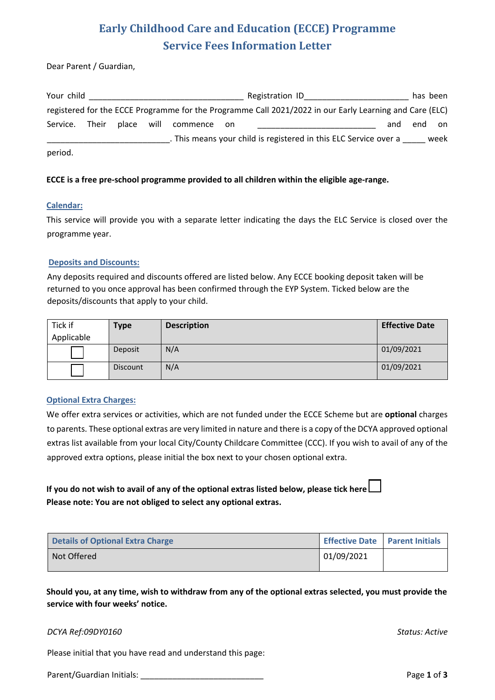# **Early Childhood Care and Education (ECCE) Programme Service Fees Information Letter**

Dear Parent / Guardian,

| Your child     |            |             | Registration ID                                                                                         |     |     | has been |
|----------------|------------|-------------|---------------------------------------------------------------------------------------------------------|-----|-----|----------|
|                |            |             | registered for the ECCE Programme for the Programme Call 2021/2022 in our Early Learning and Care (ELC) |     |     |          |
| Service. Their | place will | commence on |                                                                                                         | and | end | on       |
|                |            |             | . This means your child is registered in this ELC Service over a                                        |     |     | week     |
| period.        |            |             |                                                                                                         |     |     |          |

### **ECCE is a free pre-school programme provided to all children within the eligible age-range.**

#### **Calendar:**

This service will provide you with a separate letter indicating the days the ELC Service is closed over the programme year.

#### **Deposits and Discounts:**

Any deposits required and discounts offered are listed below. Any ECCE booking deposit taken will be returned to you once approval has been confirmed through the EYP System. Ticked below are the deposits/discounts that apply to your child.

| Tick if    | Type            | <b>Description</b> | <b>Effective Date</b> |  |
|------------|-----------------|--------------------|-----------------------|--|
| Applicable |                 |                    |                       |  |
|            | Deposit         | N/A                | 01/09/2021            |  |
|            | <b>Discount</b> | N/A                | 01/09/2021            |  |

### **Optional Extra Charges:**

We offer extra services or activities, which are not funded under the ECCE Scheme but are **optional** charges to parents. These optional extras are very limited in nature and there is a copy of the DCYA approved optional extras list available from your local City/County Childcare Committee (CCC). If you wish to avail of any of the approved extra options, please initial the box next to your chosen optional extra.

**If you do not wish to avail of any of the optional extras listed below, please tick here Please note: You are not obliged to select any optional extras.** 

| <b>Details of Optional Extra Charge</b> | Effective Date   Parent Initials |  |
|-----------------------------------------|----------------------------------|--|
| Not Offered                             | 01/09/2021                       |  |

**Should you, at any time, wish to withdraw from any of the optional extras selected, you must provide the service with four weeks' notice.**

### *DCYA Ref:09DY0160 Status: Active*

Please initial that you have read and understand this page:

Parent/Guardian Initials: \_\_\_\_\_\_\_\_\_\_\_\_\_\_\_\_\_\_\_\_\_\_\_\_\_\_\_ Page **1** of **3**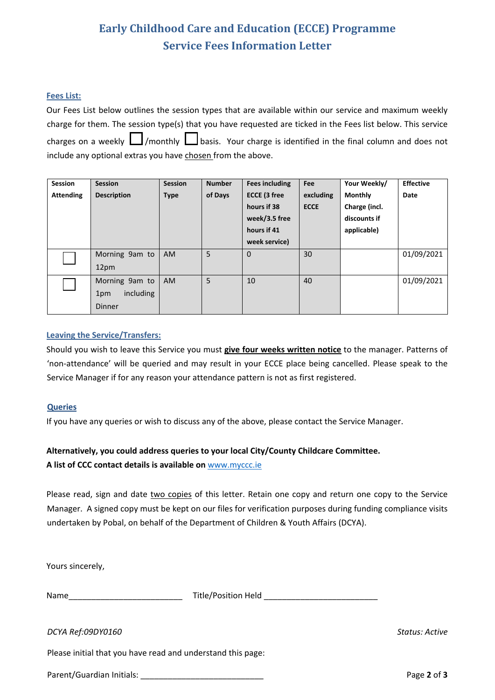# **Early Childhood Care and Education (ECCE) Programme Service Fees Information Letter**

## **Fees List:**

| Our Fees List below outlines the session types that are available within our service and maximum weekly      |
|--------------------------------------------------------------------------------------------------------------|
| charge for them. The session type(s) that you have requested are ticked in the Fees list below. This service |
| charges on a weekly $\Box$ /monthly $\Box$ basis. Your charge is identified in the final column and does not |
| include any optional extras you have chosen from the above.                                                  |

| <b>Session</b>                         | <b>Session</b>   | <b>Session</b> | <b>Number</b> | <b>Fees including</b> | Fee         | Your Weekly/   | <b>Effective</b> |
|----------------------------------------|------------------|----------------|---------------|-----------------------|-------------|----------------|------------------|
| <b>Attending</b><br><b>Description</b> |                  | <b>Type</b>    | of Days       | <b>ECCE (3 free</b>   | excluding   | <b>Monthly</b> | Date             |
|                                        |                  |                |               | hours if 38           | <b>ECCE</b> | Charge (incl.  |                  |
|                                        |                  |                |               | week/3.5 free         |             | discounts if   |                  |
|                                        |                  |                |               | hours if 41           |             | applicable)    |                  |
|                                        |                  |                |               | week service)         |             |                |                  |
|                                        | Morning 9am to   | <b>AM</b>      | 5             | $\Omega$              | 30          |                | 01/09/2021       |
|                                        | 12pm             |                |               |                       |             |                |                  |
|                                        | Morning 9am to   | <b>AM</b>      | 5             | 10                    | 40          |                | 01/09/2021       |
|                                        | including<br>1pm |                |               |                       |             |                |                  |
|                                        | <b>Dinner</b>    |                |               |                       |             |                |                  |

## **Leaving the Service/Transfers:**

Should you wish to leave this Service you must **give four weeks written notice** to the manager. Patterns of 'non-attendance' will be queried and may result in your ECCE place being cancelled. Please speak to the Service Manager if for any reason your attendance pattern is not as first registered.

### **Queries**

If you have any queries or wish to discuss any of the above, please contact the Service Manager.

## **Alternatively, you could address queries to your local City/County Childcare Committee.**

### **A list of CCC contact details is available on** [www.myccc.ie](http://www.myccc.ie/)

Please read, sign and date two copies of this letter. Retain one copy and return one copy to the Service Manager. A signed copy must be kept on our files for verification purposes during funding compliance visits undertaken by Pobal, on behalf of the Department of Children & Youth Affairs (DCYA).

Yours sincerely,

Name Title/Position Held  $\Box$ 

## *DCYA Ref:09DY0160 Status: Active*

Please initial that you have read and understand this page:

Parent/Guardian Initials: \_\_\_\_\_\_\_\_\_\_\_\_\_\_\_\_\_\_\_\_\_\_\_\_\_\_\_ Page **2** of **3**